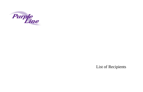

# List of Recipients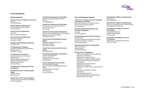## **List of Recipients**

## **Federal Agencies**

**Advisory Council on Historic Preservation Director** Mr. Donald Klima

**Federal Highway Administration**  Environmental Program Manager Mr. Dan Johnson

**Federal Transit Administration** Region III Ms. Gail McFadden-Roberts

**General Services Administration** Lead Asset Manager Ms. Nancy L. Belt

**National Capital Planning Commission**  Mr. David Levy

**US Department of Commerce**  Economic Development Administration Regional Director Mr. Willie C. Taylor

**US Department of Commerce**  National Oceanic and Atmospheric Administration National Marine Fisheries Service Habitat Conservation Division Chesapeake Bay Office

Mr. John Nichols **US Department of Housing and Urban Development** 

**National Park Service-National Capital Region**  Regional Director Mr. Joe Lawler

**United States Army Corps of Engineers**  Baltimore District Transportation Manager Mr. Paul Wettlaufer

#### **United States Department of Agriculture**  Beltsville Agricultural Research Center

Director Mr. Joseph Spence

**United States Department of Agriculture**  Natural Resources Conservation Service State Conservationist Mr. Jon Hall

**United States Department of the Interior** 

Office of Environmental Policy and Compliance Regional Environmental Officer Mr. Michael Chezik

**United States Environmental Protection Agency**  Maryland Transportation Liaison Region III (3EA30) Ms. Barbara Rudnick

**United States Environmental Protection Agency**  EIS Filing Station

**United States Department of the Interior**  Fish and Wildlife Service Program Supervisor Chesapeake Bay Field Office Mr. Bob Zepp

**United States Department of Interior**  Fish and Wildlife Biologist

Rare, Threatened, and Endangered Species (RTE) Chesapeake Bay Field Office Mr. Devin Ray Mr. Brad Knudsen

## **State And Regional Agencies**

## **Critical Area Commission for the Chesapeake and Atlantic Coastal Bays**  Maryland Department of Natural Resources Chief Project Evaluation Division

Ms. Lisa Hoeger

**Maryland Department of Business and Economic Development**  Secretary Mr. David Edgerley

**Maryland Department of the Environment**  Division Chief Non-Tidal Wetlands and Waterways Division

Wetland and Waterway Program Ms. Amanda Sigillito

**Maryland Department of Transportation** 

Office of Planning Deputy Director Ms. Heather Murphy

### **Maryland State Clearinghouse**

Department of Budget and Fiscal Planning Department of Education Department of General Services Department of Health and Mental Hygiene Department of Housing and Community Development Department of Natural Resources Department of Planning Department of Public Safety and Correctional Services Interagency Committee for School Construction Maryland Historical Trust Maryland State Highway Administration Maryland State Law Library



**Maryland State Highway Administration**  Administrator Mr. Neil Pedersen

**Maryland State Highway Administration**  Division of Regional and Inter-modal Planning and Preliminary Engineering

**Metropolitan Washington Council of Governments** Transportation Director National Capital Region Mr. Ron Kirby

#### **Metropolitan Washington Council of Governments** Department of Transportation Planning

Mr. Toni Giardini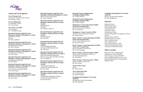

## **County and Local Agencies**

**City of Takoma Park**  Community and Government Liaison Ms. Suzanne Ludlow

**City of College Park**  City Manager's Office Ms. Terry Schum

**City of New Carrollton**  Town Manager Mr. J. Michael Downes

**Maryland-National Capital Park and Planning Commission (Montgomery County)**  Department of Parks Director Ms. Mary Bradford

**Maryland-National Capital Park and Planning Commission (Montgomery County)**  Planning Board Chairman Mr. Royce Hanson

**Maryland-National Capital Park and Planning Commission (Montgomery County)**  Transportation Coordinator Mr. Tom Autrey

**Maryland-National Capital Park and Planning Commission (Montgomery County)**  Transportation Supervisor Mr. Dan Hardy

**Maryland-National Capital Park and Planning Commission (Montgomery County)**  Department of Park and Planning Team Leader/Community Planner Mr. Glenn Kreger

**Maryland-National Capital Park and Planning Commission (Montgomery County)**  Historic Preservation Coordinator. Mr. John Carter

**Maryland-National Capital Park and Planning Commission (Montgomery County)**  Historic Preservation Planner Ms. Anne Fothergill

**Maryland-National Capital Park and Planning Commission (Prince George's County)**  Planning Board Chairman Mr. Samuel J. Parker, Jr.

**Maryland-National Capital Park and Planning Commission (Prince George's County)**  Planning Director Ms. Fern Piret

**Maryland-National Capital Park and Planning Commission (Prince George's County)**  Chief Planning Department Countywide Planning Division Mr. John Funk

**Maryland-National Capital Park and Planning Commission (Prince George's)**  Supervisor Planning Department Historic Preservation and Public Facilities Ms. Gail Rothrock

**Maryland-National Capital Park and Planning Commission (Prince George's County)** 

Transportation Supervisor Countywide Planning Division Mr. Eric Foster

**Maryland-National Capital Park and Planning Commission (Prince George's County)**  Transportation Planning Coordinator Countywide Planning Division Mr. Harold Foster

**Maryland Transit Administration Washington Regional Office**  Mr. Thomas Webster

**Maryland Transit Administration Washington Regional Office**  Mr. Carlos Abinader

**Montgomery County Department of Public Works and Transportation**  Special Assistant to the Director Mr. Gary Erenrich

**Montgomery County Executive's Office**  Assistant Chief Administrative Officer Mr. Thomas Street

**Prince George's County Department of Public Works and Transportation**  Chief, Transit Planning Section Mr. Aaron Overman

**Prince George's County Department of Public Works and Transportation**  Special Assistant to the Director Mr. Victor Weissberg

**Prince George's County Executive's Office**  Deputy Chief Administrative Officer for Governmental Operations Mr. David Byrd

**Prince George's County Executive's Office**  Special Assistant to the DCAO Ms. Paivi Spoon

**Town of Chevy Chase**  Mayor Ms. Kathy Strom

**Town of Riverdale Park** Town Administrator Mr. Patrick Prangley

**Washington Metropolitan Area Transit Authority**  Planning and Project Development Mr. John Magarelli

**Washington Metropolitan Area Transit Authority**  Director of Project Development Mr. Nat Bottigheimer,

## **Libraries**

Bethesda Library Bladensburg Library Chevy Chase Library Greenbelt Library Hyattsville Library Long Branch Library Maryland Department of Legislative Services Library Maryland State Archives Maryland State Law Library New Carrollton Library Silver Spring Library State Library Resource Center Takoma Park Maryland Library University of Maryland Library

## **Other Locations**

Maryland Transit Administration Montgomery County MNCPPC Prince George's County MNCPPC Silver Spring Regional Services Center Maryland Department of Transportation Regional Office